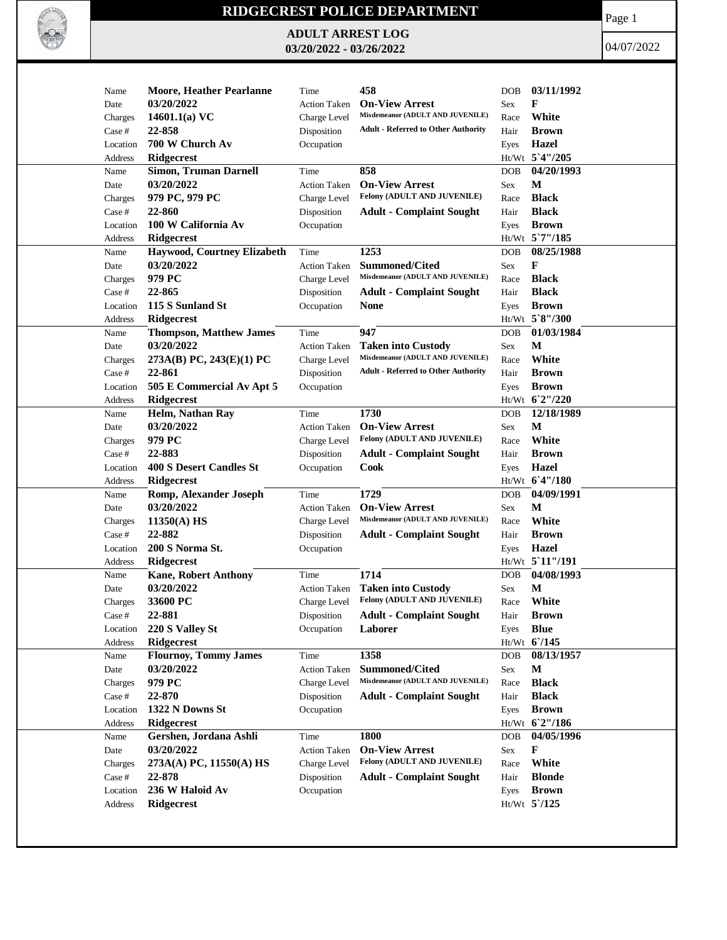

## **RIDGECREST POLICE DEPARTMENT**

**ADULT ARREST LOG 03/20/2022 - 03/26/2022**

Page 1

04/07/2022

| Name     | <b>Moore, Heather Pearlanne</b> | Time                | 458                                                       | <b>DOB</b> | 03/11/1992      |
|----------|---------------------------------|---------------------|-----------------------------------------------------------|------------|-----------------|
| Date     | 03/20/2022                      | <b>Action Taken</b> | <b>On-View Arrest</b>                                     | <b>Sex</b> | F               |
| Charges  | 14601.1(a) $VC$                 | Charge Level        | Misdemeanor (ADULT AND JUVENILE)                          | Race       | White           |
| Case #   | 22-858                          | Disposition         | <b>Adult - Referred to Other Authority</b>                | Hair       | <b>Brown</b>    |
| Location | 700 W Church Av                 | Occupation          |                                                           |            | Hazel           |
|          | <b>Ridgecrest</b>               |                     |                                                           | Eyes       | Ht/Wt 5'4"/205  |
| Address  | <b>Simon, Truman Darnell</b>    | Time                | 858                                                       |            | 04/20/1993      |
| Name     | 03/20/2022                      |                     | <b>On-View Arrest</b>                                     | <b>DOB</b> | M               |
| Date     |                                 | <b>Action Taken</b> | Felony (ADULT AND JUVENILE)                               | Sex        |                 |
| Charges  | 979 PC, 979 PC                  | Charge Level        |                                                           | Race       | <b>Black</b>    |
| Case #   | 22-860                          | Disposition         | <b>Adult - Complaint Sought</b>                           | Hair       | <b>Black</b>    |
| Location | 100 W California Av             | Occupation          |                                                           | Eyes       | <b>Brown</b>    |
| Address  | <b>Ridgecrest</b>               |                     |                                                           |            | Ht/Wt 5`7"/185  |
| Name     | Haywood, Courtney Elizabeth     | Time                | 1253                                                      | DOB        | 08/25/1988      |
| Date     | 03/20/2022                      | <b>Action Taken</b> | <b>Summoned/Cited</b><br>Misdemeanor (ADULT AND JUVENILE) | Sex        | F               |
| Charges  | 979 PC                          | Charge Level        |                                                           | Race       | <b>Black</b>    |
| Case #   | 22-865                          | Disposition         | <b>Adult - Complaint Sought</b>                           | Hair       | <b>Black</b>    |
| Location | 115 S Sunland St                | Occupation          | None                                                      | Eyes       | <b>Brown</b>    |
| Address  | <b>Ridgecrest</b>               |                     |                                                           |            | Ht/Wt 5`8"/300  |
| Name     | <b>Thompson, Matthew James</b>  | Time                | 947                                                       | <b>DOB</b> | 01/03/1984      |
| Date     | 03/20/2022                      | <b>Action Taken</b> | <b>Taken into Custody</b>                                 | Sex        | М               |
| Charges  | 273A(B) PC, 243(E)(1) PC        | Charge Level        | Misdemeanor (ADULT AND JUVENILE)                          | Race       | White           |
| Case #   | 22-861                          | Disposition         | <b>Adult - Referred to Other Authority</b>                | Hair       | <b>Brown</b>    |
| Location | 505 E Commercial Av Apt 5       | Occupation          |                                                           | Eyes       | <b>Brown</b>    |
| Address  | <b>Ridgecrest</b>               |                     |                                                           |            | Ht/Wt 62"/220   |
| Name     | Helm, Nathan Ray                | Time                | 1730                                                      | <b>DOB</b> | 12/18/1989      |
| Date     | 03/20/2022                      | <b>Action Taken</b> | <b>On-View Arrest</b>                                     | Sex        | M               |
| Charges  | 979 PC                          | Charge Level        | <b>Felony (ADULT AND JUVENILE)</b>                        | Race       | White           |
| Case #   | 22-883                          | Disposition         | <b>Adult - Complaint Sought</b>                           | Hair       | <b>Brown</b>    |
| Location | <b>400 S Desert Candles St</b>  | Occupation          | Cook                                                      | Eyes       | <b>Hazel</b>    |
| Address  | Ridgecrest                      |                     |                                                           |            | Ht/Wt 6'4"/180  |
| Name     | Romp, Alexander Joseph          | Time                | 1729                                                      | <b>DOB</b> | 04/09/1991      |
| Date     | 03/20/2022                      | <b>Action Taken</b> | <b>On-View Arrest</b>                                     | Sex        | M               |
| Charges  | $11350(A)$ HS                   | Charge Level        | Misdemeanor (ADULT AND JUVENILE)                          | Race       | White           |
| Case #   | 22-882                          | Disposition         | <b>Adult - Complaint Sought</b>                           | Hair       | <b>Brown</b>    |
| Location | 200 S Norma St.                 | Occupation          |                                                           | Eyes       | Hazel           |
| Address  | Ridgecrest                      |                     |                                                           |            | Ht/Wt 5'11"/191 |
| Name     | <b>Kane, Robert Anthony</b>     | Time                | 1714                                                      | <b>DOB</b> | 04/08/1993      |
| Date     | 03/20/2022                      | <b>Action Taken</b> | <b>Taken into Custody</b>                                 | Sex        | M               |
| Charges  | 33600 PC                        | Charge Level        | Felony (ADULT AND JUVENILE)                               | Race       | White           |
| Case #   | 22-881                          | Disposition         | <b>Adult - Complaint Sought</b>                           | Hair       | <b>Brown</b>    |
| Location | 220 S Valley St                 | Occupation          | Laborer                                                   | Eyes       | <b>Blue</b>     |
| Address  | Ridgecrest                      |                     |                                                           |            | Ht/Wt 6/145     |
| Name     | <b>Flournoy, Tommy James</b>    | Time                | 1358                                                      | <b>DOB</b> | 08/13/1957      |
| Date     | 03/20/2022                      | <b>Action Taken</b> | Summoned/Cited                                            | Sex        | M               |
| Charges  | 979 PC                          | Charge Level        | Misdemeanor (ADULT AND JUVENILE)                          | Race       | <b>Black</b>    |
| Case #   | 22-870                          | Disposition         | <b>Adult - Complaint Sought</b>                           | Hair       | <b>Black</b>    |
| Location | 1322 N Downs St                 | Occupation          |                                                           | Eyes       | <b>Brown</b>    |
| Address  | <b>Ridgecrest</b>               |                     |                                                           |            | Ht/Wt 6'2"/186  |
| Name     | Gershen, Jordana Ashli          | Time                | 1800                                                      | DOB        | 04/05/1996      |
| Date     | 03/20/2022                      | <b>Action Taken</b> | <b>On-View Arrest</b>                                     | Sex        | F               |
| Charges  | 273A(A) PC, 11550(A) HS         | Charge Level        | Felony (ADULT AND JUVENILE)                               | Race       | White           |
| Case #   | 22-878                          | Disposition         | <b>Adult - Complaint Sought</b>                           | Hair       | <b>Blonde</b>   |
| Location | 236 W Haloid Av                 | Occupation          |                                                           | Eyes       | <b>Brown</b>    |
| Address  | <b>Ridgecrest</b>               |                     |                                                           |            | $Ht/Wt$ 5 /125  |
|          |                                 |                     |                                                           |            |                 |
|          |                                 |                     |                                                           |            |                 |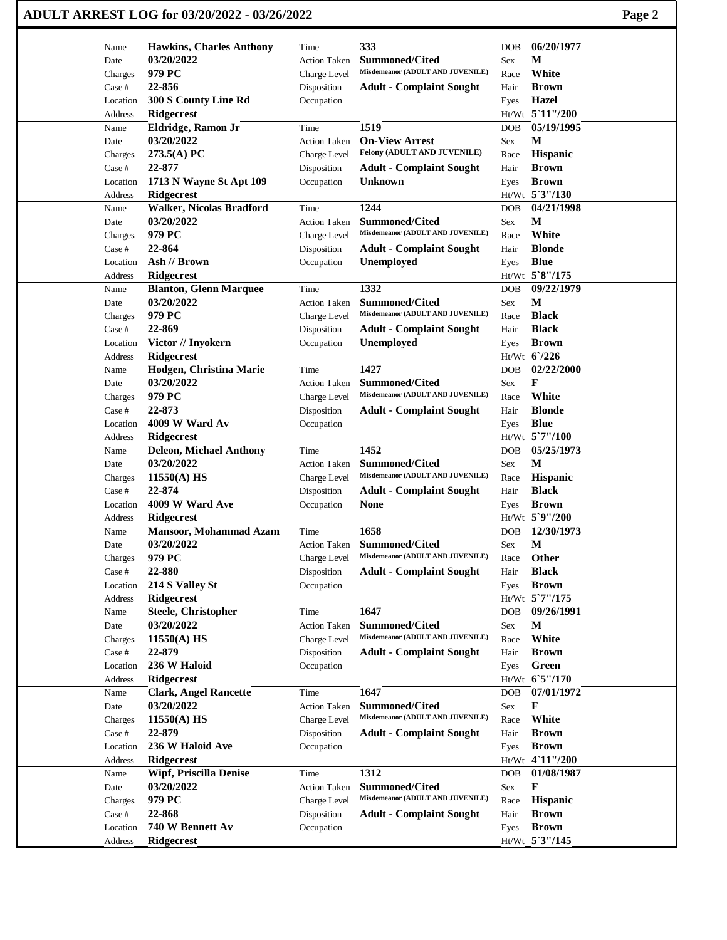## **ADULT ARREST LOG for 03/20/2022 - 03/26/2022 Page 2**

| Name                    | <b>Hawkins, Charles Anthony</b>                     |                             | 333                                                       | <b>DOB</b> | 06/20/1977                    |
|-------------------------|-----------------------------------------------------|-----------------------------|-----------------------------------------------------------|------------|-------------------------------|
| Date                    | 03/20/2022                                          | Time<br><b>Action Taken</b> | <b>Summoned/Cited</b>                                     | <b>Sex</b> | M                             |
| Charges                 | 979 PC                                              | Charge Level                | Misdemeanor (ADULT AND JUVENILE)                          | Race       | White                         |
| Case #                  | 22-856                                              | Disposition                 | <b>Adult - Complaint Sought</b>                           | Hair       | <b>Brown</b>                  |
| Location                | 300 S County Line Rd                                | Occupation                  |                                                           | Eyes       | Hazel                         |
| Address                 | <b>Ridgecrest</b>                                   |                             |                                                           |            | Ht/Wt 5'11"/200               |
| Name                    | Eldridge, Ramon Jr                                  | Time                        | 1519                                                      | <b>DOB</b> | 05/19/1995                    |
| Date                    | 03/20/2022                                          | <b>Action Taken</b>         | <b>On-View Arrest</b>                                     | Sex        | M                             |
| Charges                 | 273.5(A) PC                                         | Charge Level                | Felony (ADULT AND JUVENILE)                               | Race       | Hispanic                      |
| Case #                  | 22-877                                              | Disposition                 | <b>Adult - Complaint Sought</b>                           | Hair       | <b>Brown</b>                  |
| Location                | 1713 N Wayne St Apt 109                             | Occupation                  | <b>Unknown</b>                                            | Eyes       | <b>Brown</b>                  |
| Address                 | <b>Ridgecrest</b>                                   |                             |                                                           |            | Ht/Wt 5'3"/130                |
| Name                    | <b>Walker, Nicolas Bradford</b>                     | Time                        | 1244                                                      | DOB        | 04/21/1998                    |
| Date                    | 03/20/2022                                          | <b>Action Taken</b>         | <b>Summoned/Cited</b>                                     | Sex        | М                             |
| Charges                 | 979 PC                                              | Charge Level                | Misdemeanor (ADULT AND JUVENILE)                          | Race       | White                         |
| Case #                  | 22-864                                              | Disposition                 | <b>Adult - Complaint Sought</b>                           | Hair       | <b>Blonde</b>                 |
| Location                | Ash // Brown                                        | Occupation                  | <b>Unemployed</b>                                         | Eyes       | <b>Blue</b>                   |
| Address                 | <b>Ridgecrest</b>                                   |                             |                                                           |            | Ht/Wt 5`8"/175                |
| Name                    | <b>Blanton, Glenn Marquee</b>                       | Time                        | 1332                                                      | DOB        | 09/22/1979                    |
| Date                    | 03/20/2022                                          | <b>Action Taken</b>         | <b>Summoned/Cited</b>                                     | Sex        | M                             |
| Charges                 | 979 PC                                              | Charge Level                | Misdemeanor (ADULT AND JUVENILE)                          | Race       | <b>Black</b>                  |
| $\operatorname{Case}$ # | 22-869                                              | Disposition                 | <b>Adult - Complaint Sought</b>                           | Hair       | <b>Black</b>                  |
| Location                | Victor // Inyokern                                  | Occupation                  | Unemployed                                                | Eyes       | <b>Brown</b>                  |
| Address                 | <b>Ridgecrest</b>                                   |                             |                                                           |            | Ht/Wt 6/226                   |
| Name                    | Hodgen, Christina Marie                             | Time                        | 1427                                                      | <b>DOB</b> | 02/22/2000                    |
| Date                    | 03/20/2022                                          | <b>Action Taken</b>         | <b>Summoned/Cited</b><br>Misdemeanor (ADULT AND JUVENILE) | Sex        | F                             |
| Charges                 | 979 PC                                              | Charge Level                |                                                           | Race       | White                         |
| Case #                  | 22-873                                              | Disposition                 | <b>Adult - Complaint Sought</b>                           | Hair       | <b>Blonde</b>                 |
| Location                | 4009 W Ward Av                                      | Occupation                  |                                                           | Eyes       | <b>Blue</b><br>Ht/Wt 5`7"/100 |
| Address<br>Name         | <b>Ridgecrest</b><br><b>Deleon, Michael Anthony</b> | Time                        | 1452                                                      | <b>DOB</b> | 05/25/1973                    |
| Date                    | 03/20/2022                                          | <b>Action Taken</b>         | <b>Summoned/Cited</b>                                     | Sex        | М                             |
| Charges                 | 11550(A) HS                                         | Charge Level                | Misdemeanor (ADULT AND JUVENILE)                          | Race       | <b>Hispanic</b>               |
| Case #                  | 22-874                                              | Disposition                 | <b>Adult - Complaint Sought</b>                           | Hair       | <b>Black</b>                  |
| Location                | 4009 W Ward Ave                                     | Occupation                  | <b>None</b>                                               | Eyes       | <b>Brown</b>                  |
| Address                 | <b>Ridgecrest</b>                                   |                             |                                                           |            | Ht/Wt 5`9"/200                |
| Name                    | <b>Mansoor, Mohammad Azam</b>                       | Time                        | 1658                                                      | <b>DOB</b> | 12/30/1973                    |
| Date                    | 03/20/2022                                          | <b>Action Taken</b>         | <b>Summoned/Cited</b>                                     | Sex        | M                             |
| Charges                 | 979 PC                                              | Charge Level                | Misdemeanor (ADULT AND JUVENILE)                          | Race       | Other                         |
| Case #                  | 22-880                                              | Disposition                 | <b>Adult - Complaint Sought</b>                           | Hair       | <b>Black</b>                  |
| Location                | 214 S Valley St                                     | Occupation                  |                                                           | Eyes       | <b>Brown</b>                  |
| Address                 | <b>Ridgecrest</b>                                   |                             |                                                           |            | Ht/Wt 5`7"/175                |
| Name                    | <b>Steele, Christopher</b>                          | Time                        | 1647                                                      | DOB        | 09/26/1991                    |
| Date                    | 03/20/2022                                          | <b>Action Taken</b>         | <b>Summoned/Cited</b>                                     | Sex        | М                             |
| Charges                 | $11550(A)$ HS                                       | Charge Level                | Misdemeanor (ADULT AND JUVENILE)                          | Race       | White                         |
| Case #                  | 22-879                                              | Disposition                 | <b>Adult - Complaint Sought</b>                           | Hair       | <b>Brown</b>                  |
| Location                | 236 W Haloid                                        | Occupation                  |                                                           | Eyes       | Green                         |
| Address                 | <b>Ridgecrest</b>                                   |                             |                                                           |            | Ht/Wt 65"/170                 |
| Name                    | <b>Clark, Angel Rancette</b>                        | Time                        | 1647                                                      | DOB        | 07/01/1972                    |
| Date                    | 03/20/2022                                          | <b>Action Taken</b>         | Summoned/Cited                                            | Sex        | F                             |
| Charges                 | 11550(A) HS                                         | Charge Level                | Misdemeanor (ADULT AND JUVENILE)                          | Race       | White                         |
| Case #                  | 22-879                                              | Disposition                 | <b>Adult - Complaint Sought</b>                           | Hair       | <b>Brown</b>                  |
| Location                | 236 W Haloid Ave                                    | Occupation                  |                                                           | Eyes       | <b>Brown</b>                  |
| Address                 | <b>Ridgecrest</b>                                   |                             |                                                           |            | Ht/Wt 4'11"/200               |
| Name                    | <b>Wipf, Priscilla Denise</b>                       | Time                        | 1312                                                      | DOB        | 01/08/1987                    |
| Date                    | 03/20/2022                                          | <b>Action Taken</b>         | Summoned/Cited                                            | Sex        | F                             |
| Charges                 | 979 PC                                              | Charge Level                | Misdemeanor (ADULT AND JUVENILE)                          | Race       | Hispanic                      |
| Case #                  | 22-868                                              | Disposition                 | <b>Adult - Complaint Sought</b>                           | Hair       | <b>Brown</b>                  |
| Location                | 740 W Bennett Av                                    | Occupation                  |                                                           | Eyes       | <b>Brown</b>                  |
| Address                 | <b>Ridgecrest</b>                                   |                             |                                                           |            | Ht/Wt 5'3"/145                |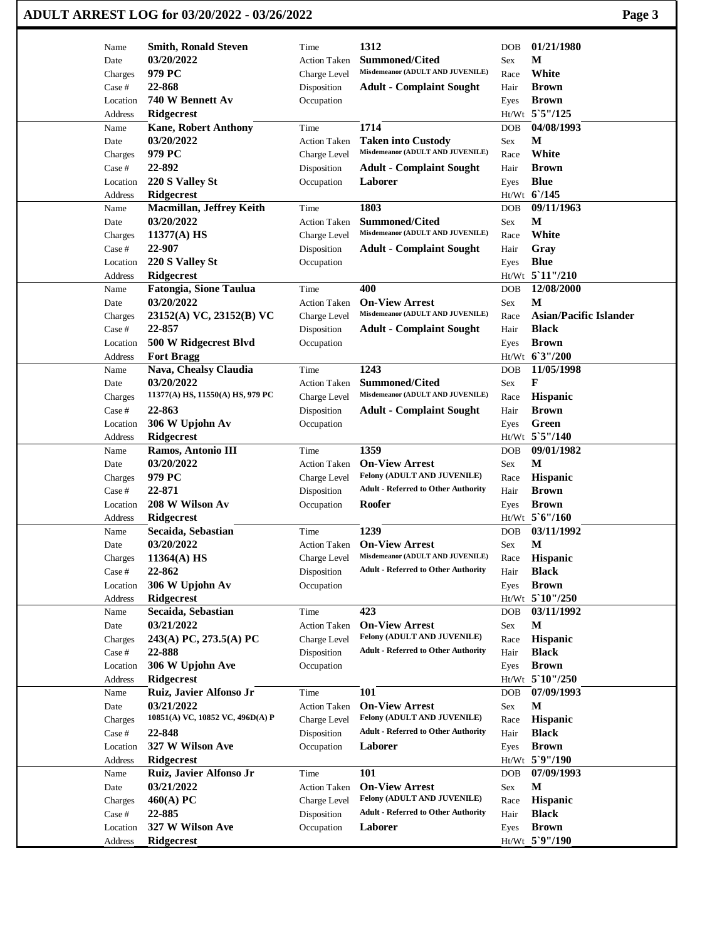|                   | ADULT ARREST LOG for 03/20/2022 - 03/26/2022  |                                     |                                                               |                                    | Page 3                        |
|-------------------|-----------------------------------------------|-------------------------------------|---------------------------------------------------------------|------------------------------------|-------------------------------|
| Name              | <b>Smith, Ronald Steven</b>                   | Time                                | 1312                                                          | DOB                                | 01/21/1980                    |
| Date              | 03/20/2022                                    | <b>Action Taken</b>                 | <b>Summoned/Cited</b>                                         | М<br>Sex                           |                               |
| Charges           | 979 PC                                        | Charge Level                        | Misdemeanor (ADULT AND JUVENILE)                              | Race                               | White                         |
| Case #            | 22-868                                        | Disposition                         | <b>Adult - Complaint Sought</b>                               | Hair                               | <b>Brown</b>                  |
| Location          | 740 W Bennett Av                              | Occupation                          |                                                               | Eyes                               | <b>Brown</b>                  |
| Address           | <b>Ridgecrest</b>                             |                                     |                                                               | Ht/Wt 5`5"/125                     |                               |
| Name              | <b>Kane, Robert Anthony</b>                   | Time                                | 1714                                                          | DOB                                | 04/08/1993                    |
| Date              | 03/20/2022                                    | <b>Action Taken</b>                 | <b>Taken into Custody</b><br>Misdemeanor (ADULT AND JUVENILE) | М<br>Sex                           |                               |
| Charges           | 979 PC                                        | Charge Level                        |                                                               | Race                               | White                         |
| Case #            | 22-892                                        | Disposition                         | <b>Adult - Complaint Sought</b>                               | Hair                               | <b>Brown</b>                  |
| Location          | 220 S Valley St                               | Occupation                          | Laborer                                                       | <b>Blue</b><br>Eyes<br>Ht/Wt 6/145 |                               |
| Address<br>Name   | <b>Ridgecrest</b><br>Macmillan, Jeffrey Keith | Time                                | 1803                                                          | DOB                                | 09/11/1963                    |
| Date              | 03/20/2022                                    | <b>Action Taken</b>                 | <b>Summoned/Cited</b>                                         | М<br>Sex                           |                               |
| Charges           | 11377(A) HS                                   | Charge Level                        | Misdemeanor (ADULT AND JUVENILE)                              | Race                               | White                         |
| Case #            | 22-907                                        | Disposition                         | <b>Adult - Complaint Sought</b>                               | Hair                               | Gray                          |
| Location          | 220 S Valley St                               | Occupation                          |                                                               | <b>Blue</b><br>Eyes                |                               |
| Address           | <b>Ridgecrest</b>                             |                                     |                                                               | Ht/Wt 5 11"/210                    |                               |
| Name              | <b>Fatongia, Sione Taulua</b>                 | Time                                | 400                                                           | DOB                                | 12/08/2000                    |
| Date              | 03/20/2022                                    | <b>Action Taken</b>                 | <b>On-View Arrest</b>                                         | M<br>Sex                           |                               |
| Charges           | 23152(A) VC, 23152(B) VC                      | Charge Level                        | Misdemeanor (ADULT AND JUVENILE)                              | Race                               | <b>Asian/Pacific Islander</b> |
| Case #            | 22-857                                        | Disposition                         | <b>Adult - Complaint Sought</b>                               | Hair                               | <b>Black</b>                  |
| Location          | 500 W Ridgecrest Blvd                         | Occupation                          |                                                               | Eyes                               | <b>Brown</b>                  |
| Address           | <b>Fort Bragg</b>                             |                                     |                                                               | Ht/Wt 6'3"/200                     |                               |
| Name              | Nava, Chealsy Claudia                         | Time                                | 1243                                                          | DOB                                | 11/05/1998                    |
| Date              | 03/20/2022                                    | <b>Action Taken</b>                 | <b>Summoned/Cited</b>                                         | F<br>Sex                           |                               |
| Charges           | 11377(A) HS, 11550(A) HS, 979 PC              | Charge Level                        | Misdemeanor (ADULT AND JUVENILE)                              | Race                               | <b>Hispanic</b>               |
| Case #            | 22-863                                        | Disposition                         | <b>Adult - Complaint Sought</b>                               | Hair                               | <b>Brown</b>                  |
| Location          | 306 W Upjohn Av                               | Occupation                          |                                                               | Eyes                               | Green                         |
| Address           | <b>Ridgecrest</b>                             |                                     |                                                               | Ht/Wt 5`5"/140                     |                               |
| Name              | Ramos, Antonio III                            | Time                                | 1359                                                          | <b>DOB</b>                         | 09/01/1982                    |
| Date              | 03/20/2022                                    | <b>Action Taken</b>                 | <b>On-View Arrest</b>                                         | М<br>Sex                           |                               |
| Charges           | 979 PC                                        | Charge Level                        | Felony (ADULT AND JUVENILE)                                   | Race                               | Hispanic                      |
| Case #            | 22-871                                        | Disposition                         | <b>Adult - Referred to Other Authority</b>                    | Hair                               | <b>Brown</b>                  |
| Location          | 208 W Wilson Av                               | Occupation                          | Roofer                                                        | Eyes                               | <b>Brown</b>                  |
| Address           | <b>Ridgecrest</b>                             |                                     |                                                               | Ht/Wt 5'6"/160                     |                               |
| Name              | Secaida, Sebastian<br>03/20/2022              | Time                                | 1239<br><b>On-View Arrest</b>                                 | DOB<br>$\mathbf{M}$                | 03/11/1992                    |
| Date              |                                               | <b>Action Taken</b><br>Charge Level | Misdemeanor (ADULT AND JUVENILE)                              | Sex<br>Race                        | Hispanic                      |
| Charges<br>Case # | $11364(A)$ HS<br>22-862                       | Disposition                         | <b>Adult - Referred to Other Authority</b>                    | Hair                               | <b>Black</b>                  |
| Location          | 306 W Upjohn Av                               | Occupation                          |                                                               | Eyes                               | <b>Brown</b>                  |
| Address           | <b>Ridgecrest</b>                             |                                     |                                                               | $Ht/Wt$ 5 10"/250                  |                               |
| Name              | Secaida, Sebastian                            | Time                                | 423                                                           | <b>DOB</b>                         | 03/11/1992                    |
| Date              | 03/21/2022                                    | <b>Action Taken</b>                 | <b>On-View Arrest</b>                                         | M<br>Sex                           |                               |
| Charges           | 243(A) PC, 273.5(A) PC                        | Charge Level                        | Felony (ADULT AND JUVENILE)                                   | Race                               | <b>Hispanic</b>               |
| Case #            | 22-888                                        | Disposition                         | <b>Adult - Referred to Other Authority</b>                    | Hair                               | <b>Black</b>                  |
| Location          | 306 W Upjohn Ave                              | Occupation                          |                                                               | Eyes                               | <b>Brown</b>                  |
| Address           | <b>Ridgecrest</b>                             |                                     |                                                               | $Ht/Wt$ 5 10"/250                  |                               |
| Name              | Ruiz, Javier Alfonso Jr                       | Time                                | 101                                                           | <b>DOB</b>                         | 07/09/1993                    |
| Date              | 03/21/2022                                    | <b>Action Taken</b>                 | <b>On-View Arrest</b>                                         | M<br>Sex                           |                               |
| Charges           | 10851(A) VC, 10852 VC, 496D(A) P              | Charge Level                        | Felony (ADULT AND JUVENILE)                                   | Race                               | <b>Hispanic</b>               |
| Case #            | 22-848                                        | Disposition                         | <b>Adult - Referred to Other Authority</b>                    | Hair                               | <b>Black</b>                  |
| Location          | 327 W Wilson Ave                              | Occupation                          | Laborer                                                       | Eyes                               | <b>Brown</b>                  |
| Address           | <b>Ridgecrest</b>                             |                                     |                                                               | Ht/Wt 5`9"/190                     |                               |
| Name              | Ruiz, Javier Alfonso Jr                       | Time                                | <b>101</b>                                                    | DOB                                | 07/09/1993                    |
| Date              | 03/21/2022                                    | <b>Action Taken</b>                 | <b>On-View Arrest</b>                                         | M<br>Sex                           |                               |
| Charges           | 460(A) PC                                     | Charge Level                        | Felony (ADULT AND JUVENILE)                                   | Race                               | Hispanic                      |
| Case #            | 22-885                                        | Disposition                         | <b>Adult - Referred to Other Authority</b>                    | Hair                               | <b>Black</b>                  |
| Location          | 327 W Wilson Ave                              | Occupation                          | Laborer                                                       | Eyes                               | <b>Brown</b>                  |
| Address           | Ridgecrest                                    |                                     |                                                               | Ht/Wt 5`9"/190                     |                               |

 $\mathbf{I}$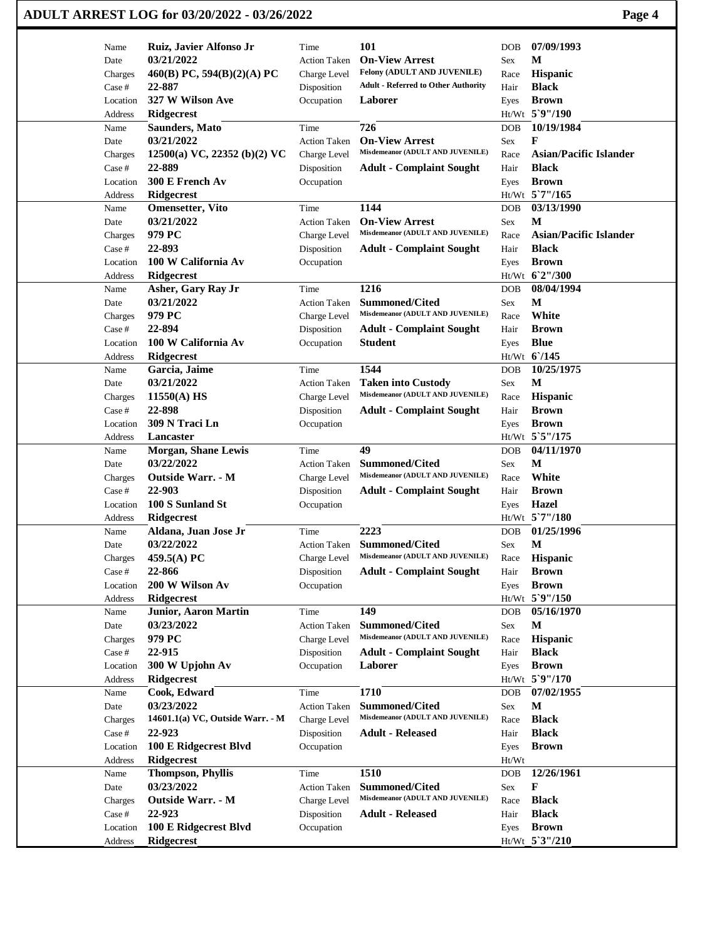| Name     | Ruiz, Javier Alfonso Jr          | Time                | 101                                                       | <b>DOB</b> | 07/09/1993                    |
|----------|----------------------------------|---------------------|-----------------------------------------------------------|------------|-------------------------------|
| Date     | 03/21/2022                       | <b>Action Taken</b> | <b>On-View Arrest</b>                                     | Sex        | M                             |
| Charges  | 460(B) PC, 594(B)(2)(A) PC       | Charge Level        | Felony (ADULT AND JUVENILE)                               | Race       | Hispanic                      |
| Case #   | 22-887                           | Disposition         | <b>Adult - Referred to Other Authority</b>                | Hair       | <b>Black</b>                  |
| Location | 327 W Wilson Ave                 | Occupation          | Laborer                                                   | Eyes       | <b>Brown</b>                  |
| Address  | Ridgecrest                       |                     |                                                           |            | Ht/Wt 5`9"/190                |
| Name     | <b>Saunders, Mato</b>            | Time                | 726                                                       | <b>DOB</b> | 10/19/1984                    |
| Date     | 03/21/2022                       | <b>Action Taken</b> | <b>On-View Arrest</b>                                     | Sex        | F                             |
| Charges  | 12500(a) VC, 22352 (b)(2) VC     | Charge Level        | Misdemeanor (ADULT AND JUVENILE)                          | Race       | <b>Asian/Pacific Islander</b> |
| Case #   | 22-889                           | Disposition         | <b>Adult - Complaint Sought</b>                           | Hair       | <b>Black</b>                  |
| Location | 300 E French Av                  | Occupation          |                                                           | Eyes       | <b>Brown</b>                  |
| Address  | Ridgecrest                       |                     |                                                           |            | Ht/Wt 5`7"/165                |
| Name     | <b>Omensetter</b> , Vito         | Time                | 1144                                                      | <b>DOB</b> | 03/13/1990                    |
| Date     | 03/21/2022                       | <b>Action Taken</b> | <b>On-View Arrest</b>                                     | Sex        | M                             |
| Charges  | 979 PC                           | Charge Level        | Misdemeanor (ADULT AND JUVENILE)                          | Race       | <b>Asian/Pacific Islander</b> |
| Case #   | 22-893                           | Disposition         | <b>Adult - Complaint Sought</b>                           | Hair       | <b>Black</b>                  |
| Location | 100 W California Av              | Occupation          |                                                           | Eyes       | <b>Brown</b>                  |
| Address  | Ridgecrest                       |                     |                                                           |            | Ht/Wt 6'2"/300                |
| Name     | Asher, Gary Ray Jr               | Time                | 1216                                                      | <b>DOB</b> | 08/04/1994                    |
| Date     | 03/21/2022                       | <b>Action Taken</b> | <b>Summoned/Cited</b>                                     | Sex        | М                             |
| Charges  | 979 PC                           | Charge Level        | Misdemeanor (ADULT AND JUVENILE)                          | Race       | White                         |
| Case #   | 22-894                           | Disposition         | <b>Adult - Complaint Sought</b>                           | Hair       | <b>Brown</b>                  |
| Location | 100 W California Av              | Occupation          | <b>Student</b>                                            | Eyes       | <b>Blue</b>                   |
| Address  | <b>Ridgecrest</b>                |                     |                                                           |            | Ht/Wt 6/145                   |
| Name     | Garcia, Jaime                    | Time                | 1544                                                      | <b>DOB</b> | 10/25/1975                    |
| Date     | 03/21/2022                       | <b>Action Taken</b> | <b>Taken into Custody</b>                                 | Sex        | М                             |
| Charges  | $11550(A)$ HS                    | Charge Level        | Misdemeanor (ADULT AND JUVENILE)                          | Race       | Hispanic                      |
| Case #   | 22-898                           | Disposition         | <b>Adult - Complaint Sought</b>                           | Hair       | <b>Brown</b>                  |
|          | 309 N Traci Ln                   |                     |                                                           |            | <b>Brown</b>                  |
| Location |                                  | Occupation          |                                                           | Eyes       |                               |
| Address  | Lancaster                        |                     |                                                           |            | Ht/Wt 5`5"/175                |
| Name     | <b>Morgan, Shane Lewis</b>       | Time                | 49                                                        | <b>DOB</b> | 04/11/1970                    |
| Date     | 03/22/2022                       | <b>Action Taken</b> | Summoned/Cited                                            | Sex        | M                             |
| Charges  | <b>Outside Warr. - M</b>         | Charge Level        | Misdemeanor (ADULT AND JUVENILE)                          | Race       | White                         |
| Case #   | 22-903                           | Disposition         | <b>Adult - Complaint Sought</b>                           | Hair       | <b>Brown</b>                  |
| Location | 100 S Sunland St                 | Occupation          |                                                           | Eyes       | Hazel                         |
| Address  | Ridgecrest                       |                     |                                                           |            | Ht/Wt 5`7"/180                |
| Name     | Aldana, Juan Jose Jr             | Time                | 2223                                                      | <b>DOB</b> | 01/25/1996                    |
| Date     | 03/22/2022                       | <b>Action Taken</b> | <b>Summoned/Cited</b>                                     | Sex        | $\mathbf M$                   |
| Charges  | 459.5(A) $PC$                    | Charge Level        | Misdemeanor (ADULT AND JUVENILE)                          | Race       | Hispanic                      |
| Case #   | 22-866                           | Disposition         | <b>Adult - Complaint Sought</b>                           | Hair       | <b>Brown</b>                  |
| Location | 200 W Wilson Av                  | Occupation          |                                                           | Eyes       | <b>Brown</b>                  |
| Address  | Ridgecrest                       |                     |                                                           |            | Ht/Wt 5`9"/150                |
| Name     | <b>Junior, Aaron Martin</b>      | Time                | 149                                                       | <b>DOB</b> | 05/16/1970                    |
| Date     | 03/23/2022                       | <b>Action Taken</b> | <b>Summoned/Cited</b>                                     | Sex        | M                             |
| Charges  | 979 PC                           | Charge Level        | Misdemeanor (ADULT AND JUVENILE)                          | Race       | Hispanic                      |
| Case #   | 22-915                           | Disposition         | <b>Adult - Complaint Sought</b>                           | Hair       | <b>Black</b>                  |
| Location | 300 W Upjohn Av                  | Occupation          | Laborer                                                   | Eyes       | <b>Brown</b>                  |
| Address  | <b>Ridgecrest</b>                |                     |                                                           |            | Ht/Wt 5`9"/170                |
| Name     | Cook, Edward                     | Time                | 1710                                                      | DOB        | 07/02/1955                    |
|          |                                  |                     |                                                           |            |                               |
| Date     | 03/23/2022                       | <b>Action Taken</b> | <b>Summoned/Cited</b><br>Misdemeanor (ADULT AND JUVENILE) | Sex        | $\mathbf M$                   |
| Charges  | 14601.1(a) VC, Outside Warr. - M | Charge Level        |                                                           | Race       | <b>Black</b>                  |
| Case #   | 22-923                           | Disposition         | <b>Adult - Released</b>                                   | Hair       | <b>Black</b>                  |
| Location | 100 E Ridgecrest Blvd            | Occupation          |                                                           | Eyes       | <b>Brown</b>                  |
|          | <b>Ridgecrest</b>                |                     |                                                           | Ht/Wt      |                               |
| Address  |                                  |                     | 1510                                                      | DOB        | 12/26/1961                    |
| Name     | <b>Thompson, Phyllis</b>         | Time                |                                                           |            |                               |
| Date     | 03/23/2022                       | <b>Action Taken</b> | <b>Summoned/Cited</b>                                     | Sex        | F                             |
| Charges  | <b>Outside Warr. - M</b>         | Charge Level        | Misdemeanor (ADULT AND JUVENILE)                          | Race       | <b>Black</b>                  |
| Case #   | 22-923                           | Disposition         | <b>Adult - Released</b>                                   | Hair       | <b>Black</b>                  |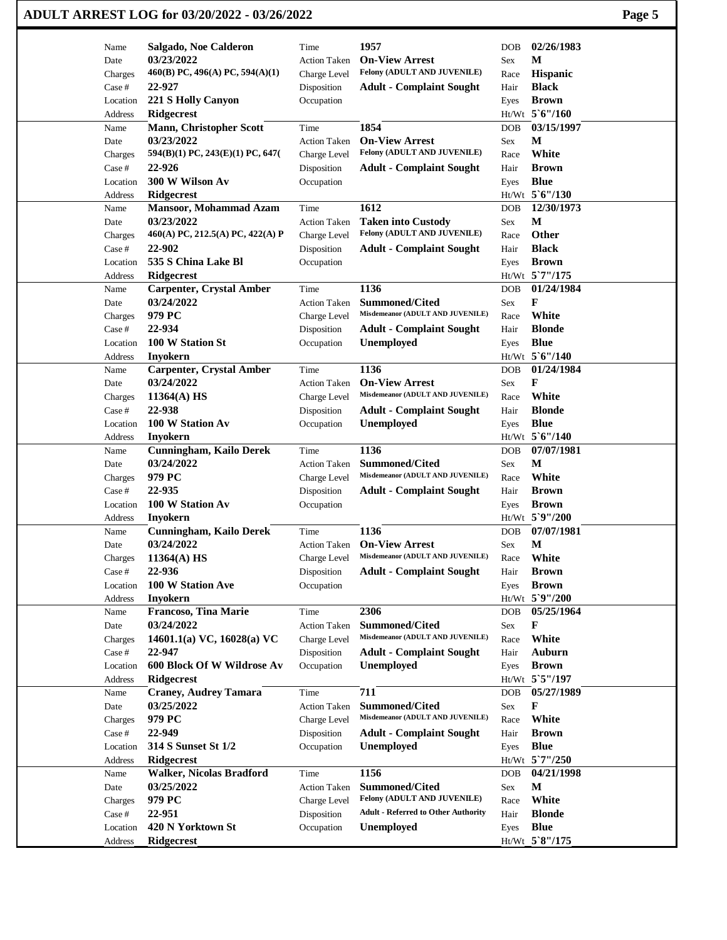|              | ADULT ARREST LOG for 03/20/2022 - 03/26/2022 |                                     |                                                          |            |                                | Page 5 |
|--------------|----------------------------------------------|-------------------------------------|----------------------------------------------------------|------------|--------------------------------|--------|
| Name         | Salgado, Noe Calderon                        | Time                                | 1957                                                     | <b>DOB</b> | 02/26/1983                     |        |
| Date         | 03/23/2022                                   | <b>Action Taken</b>                 | <b>On-View Arrest</b>                                    | Sex        | M                              |        |
| Charges      | 460(B) PC, 496(A) PC, 594(A)(1)              | Charge Level                        | Felony (ADULT AND JUVENILE)                              | Race       | Hispanic                       |        |
| Case #       | 22-927                                       | Disposition                         | <b>Adult - Complaint Sought</b>                          | Hair       | <b>Black</b>                   |        |
| Location     | 221 S Holly Canyon                           | Occupation                          |                                                          | Eyes       | <b>Brown</b>                   |        |
| Address      | Ridgecrest                                   |                                     |                                                          |            | Ht/Wt 5'6"/160                 |        |
| Name         | <b>Mann, Christopher Scott</b>               | Time                                | 1854                                                     | DOB        | 03/15/1997                     |        |
| Date         | 03/23/2022                                   | <b>Action Taken</b>                 | <b>On-View Arrest</b>                                    | Sex        | М                              |        |
| Charges      | 594(B)(1) PC, 243(E)(1) PC, 647(             | Charge Level                        | Felony (ADULT AND JUVENILE)                              | Race       | White                          |        |
| Case #       | 22-926                                       | Disposition                         | <b>Adult - Complaint Sought</b>                          | Hair       | <b>Brown</b>                   |        |
| Location     | 300 W Wilson Av                              | Occupation                          |                                                          | Eyes       | <b>Blue</b>                    |        |
| Address      | <b>Ridgecrest</b>                            | Time                                | 1612                                                     |            | Ht/Wt 5'6"/130<br>12/30/1973   |        |
| Name<br>Date | <b>Mansoor, Mohammad Azam</b><br>03/23/2022  |                                     |                                                          | DOB<br>Sex | M                              |        |
| Charges      | 460(A) PC, 212.5(A) PC, 422(A) P             | <b>Action Taken</b><br>Charge Level | <b>Taken into Custody</b><br>Felony (ADULT AND JUVENILE) | Race       | Other                          |        |
| Case #       | 22-902                                       | Disposition                         | <b>Adult - Complaint Sought</b>                          | Hair       | <b>Black</b>                   |        |
| Location     | 535 S China Lake Bl                          | Occupation                          |                                                          | Eyes       | <b>Brown</b>                   |        |
| Address      | <b>Ridgecrest</b>                            |                                     |                                                          |            | Ht/Wt 5'7"/175                 |        |
| Name         | <b>Carpenter, Crystal Amber</b>              | Time                                | 1136                                                     | <b>DOB</b> | 01/24/1984                     |        |
| Date         | 03/24/2022                                   | <b>Action Taken</b>                 | <b>Summoned/Cited</b>                                    | Sex        | F                              |        |
| Charges      | 979 PC                                       | Charge Level                        | Misdemeanor (ADULT AND JUVENILE)                         | Race       | White                          |        |
| Case #       | 22-934                                       | Disposition                         | <b>Adult - Complaint Sought</b>                          | Hair       | <b>Blonde</b>                  |        |
| Location     | 100 W Station St                             | Occupation                          | Unemployed                                               | Eyes       | <b>Blue</b>                    |        |
| Address      | Inyokern                                     |                                     |                                                          |            | Ht/Wt 5'6"/140                 |        |
| Name         | <b>Carpenter, Crystal Amber</b>              | Time                                | 1136                                                     | DOB        | 01/24/1984                     |        |
| Date         | 03/24/2022                                   | <b>Action Taken</b>                 | <b>On-View Arrest</b>                                    | Sex        | F                              |        |
| Charges      | $11364(A)$ HS                                | Charge Level                        | Misdemeanor (ADULT AND JUVENILE)                         | Race       | White                          |        |
| Case #       | 22-938                                       | Disposition                         | <b>Adult - Complaint Sought</b>                          | Hair       | <b>Blonde</b>                  |        |
| Location     | 100 W Station Av                             | Occupation                          | Unemployed                                               | Eyes       | <b>Blue</b>                    |        |
| Address      | <b>Inyokern</b>                              |                                     |                                                          |            | Ht/Wt 5'6"/140                 |        |
| Name         | <b>Cunningham, Kailo Derek</b>               | Time                                | 1136                                                     | DOB        | 07/07/1981                     |        |
| Date         | 03/24/2022                                   | <b>Action Taken</b>                 | Summoned/Cited                                           | Sex        | М                              |        |
| Charges      | 979 PC                                       | Charge Level                        | Misdemeanor (ADULT AND JUVENILE)                         | Race       | White                          |        |
| Case #       | 22-935                                       | Disposition                         | <b>Adult - Complaint Sought</b>                          | Hair       | <b>Brown</b>                   |        |
| Location     | 100 W Station Av                             | Occupation                          |                                                          | Eyes       | <b>Brown</b><br>Ht/Wt 5`9"/200 |        |
| Address      | Inyokern<br><b>Cunningham, Kailo Derek</b>   |                                     | 1136                                                     |            | 07/07/1981                     |        |
| Name<br>Date | 03/24/2022                                   | Time<br>Action Taken                | <b>On-View Arrest</b>                                    | DOB<br>Sex | $\mathbf M$                    |        |
| Charges      | 11364(A) HS                                  | Charge Level                        | Misdemeanor (ADULT AND JUVENILE)                         | Race       | White                          |        |
| Case #       | 22-936                                       | Disposition                         | <b>Adult - Complaint Sought</b>                          | Hair       | <b>Brown</b>                   |        |
| Location     | 100 W Station Ave                            | Occupation                          |                                                          | Eyes       | <b>Brown</b>                   |        |
| Address      | Inyokern                                     |                                     |                                                          |            | Ht/Wt 5`9"/200                 |        |
| Name         | <b>Francoso, Tina Marie</b>                  | Time                                | 2306                                                     | DOB        | 05/25/1964                     |        |
| Date         | 03/24/2022                                   | <b>Action Taken</b>                 | <b>Summoned/Cited</b>                                    | Sex        | F                              |        |
| Charges      | 14601.1(a) VC, 16028(a) VC                   | Charge Level                        | Misdemeanor (ADULT AND JUVENILE)                         | Race       | White                          |        |
| Case #       | 22-947                                       | Disposition                         | <b>Adult - Complaint Sought</b>                          | Hair       | Auburn                         |        |
| Location     | 600 Block Of W Wildrose Av                   | Occupation                          | Unemployed                                               | Eyes       | <b>Brown</b>                   |        |
| Address      | <b>Ridgecrest</b>                            |                                     |                                                          |            | Ht/Wt 5`5"/197                 |        |
| Name         | <b>Craney, Audrey Tamara</b>                 | Time                                | 711                                                      | DOB        | 05/27/1989                     |        |
| Date         | 03/25/2022                                   | <b>Action Taken</b>                 | <b>Summoned/Cited</b>                                    | Sex        | F                              |        |
| Charges      | 979 PC                                       | Charge Level                        | Misdemeanor (ADULT AND JUVENILE)                         | Race       | White                          |        |
| Case #       | 22-949                                       | Disposition                         | <b>Adult - Complaint Sought</b>                          | Hair       | <b>Brown</b>                   |        |
| Location     | 314 S Sunset St 1/2                          | Occupation                          | Unemployed                                               | Eyes       | <b>Blue</b>                    |        |
| Address      | <b>Ridgecrest</b>                            |                                     |                                                          |            | Ht/Wt 5`7"/250                 |        |
| Name         | <b>Walker, Nicolas Bradford</b>              | Time                                | 1156                                                     | <b>DOB</b> | 04/21/1998                     |        |
| Date         | 03/25/2022                                   | <b>Action Taken</b>                 | <b>Summoned/Cited</b>                                    | Sex        | M                              |        |
| Charges      | 979 PC                                       | Charge Level                        | Felony (ADULT AND JUVENILE)                              | Race       | White                          |        |
| Case #       | 22-951                                       | Disposition                         | <b>Adult - Referred to Other Authority</b>               | Hair       | <b>Blonde</b>                  |        |
| Location     | 420 N Yorktown St                            | Occupation                          | <b>Unemployed</b>                                        | Eyes       | <b>Blue</b>                    |        |
| Address      | Ridgecrest                                   |                                     |                                                          |            | Ht/Wt_5`8"/175                 |        |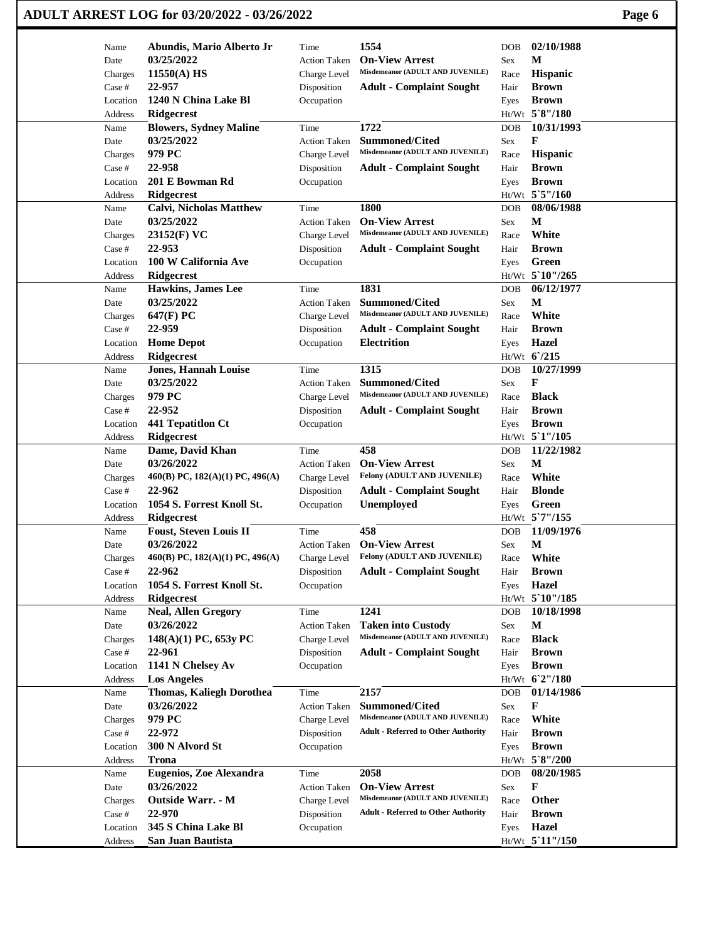| 1554<br>02/10/1988<br>Abundis, Mario Alberto Jr<br>Time<br><b>DOB</b><br>Name<br>03/25/2022<br><b>On-View Arrest</b><br>M<br><b>Action Taken</b><br>Date<br>Sex<br>Misdemeanor (ADULT AND JUVENILE)<br>11550(A) HS<br>Hispanic<br>Charge Level<br>Charges<br>Race<br>22-957<br><b>Brown</b><br>Case #<br>Disposition<br><b>Adult - Complaint Sought</b><br>Hair<br>1240 N China Lake Bl<br><b>Brown</b><br>Location<br>Occupation<br>Eyes<br>Ht/Wt 5`8"/180<br>Address<br>Ridgecrest<br>1722<br>10/31/1993<br><b>Blowers, Sydney Maline</b><br>Time<br>DOB<br>Name<br>03/25/2022<br>F<br>Summoned/Cited<br>Date<br><b>Action Taken</b><br>Sex<br>Misdemeanor (ADULT AND JUVENILE)<br>979 PC<br>Hispanic<br>Charges<br>Charge Level<br>Race<br>22-958<br><b>Adult - Complaint Sought</b><br><b>Brown</b><br>Case #<br>Disposition<br>Hair<br>201 E Bowman Rd<br><b>Brown</b><br>Occupation<br>Location<br>Eyes<br>Ht/Wt 5`5"/160<br><b>Ridgecrest</b><br>Address<br>1800<br>Time<br>08/06/1988<br>Name<br><b>Calvi, Nicholas Matthew</b><br><b>DOB</b><br>03/25/2022<br><b>On-View Arrest</b><br>М<br>Date<br><b>Action Taken</b><br>Sex<br>Misdemeanor (ADULT AND JUVENILE)<br>White<br>23152(F) VC<br>Charge Level<br>Race<br>Charges<br>22-953<br>Case #<br>Disposition<br><b>Adult - Complaint Sought</b><br><b>Brown</b><br>Hair<br>100 W California Ave<br>Green<br>Occupation<br>Location<br>Eyes<br>Ht/Wt 5`10"/265<br><b>Ridgecrest</b><br>Address<br>1831<br>06/12/1977<br><b>Hawkins, James Lee</b><br>Name<br>Time<br><b>DOB</b><br>03/25/2022<br><b>Summoned/Cited</b><br>M<br><b>Action Taken</b><br>Date<br>Sex<br>Misdemeanor (ADULT AND JUVENILE)<br>White<br>647(F) PC<br>Charge Level<br>Charges<br>Race<br>22-959<br><b>Brown</b><br>Case #<br>Disposition<br><b>Adult - Complaint Sought</b><br>Hair<br><b>Home Depot</b><br><b>Electrition</b><br><b>Hazel</b><br>Location<br>Occupation<br>Eyes<br>Ht/Wt 6/215<br>Ridgecrest<br>Address<br>1315<br>10/27/1999<br><b>Jones, Hannah Louise</b><br>Time<br><b>DOB</b><br>Name<br>03/25/2022<br><b>Summoned/Cited</b><br>F<br>Date<br><b>Action Taken</b><br>Sex<br>Misdemeanor (ADULT AND JUVENILE)<br>979 PC<br><b>Black</b><br>Charges<br>Charge Level<br>Race<br>22-952<br><b>Adult - Complaint Sought</b><br><b>Brown</b><br>Case #<br>Disposition<br>Hair<br>441 Tepatitlon Ct<br>Occupation<br><b>Brown</b><br>Location<br>Eyes<br>Ht/Wt 5'1"/105<br><b>Ridgecrest</b><br>Address<br>458<br>11/22/1982<br>Dame, David Khan<br>Name<br>Time<br><b>DOB</b><br>M<br>03/26/2022<br><b>On-View Arrest</b><br>Date<br><b>Action Taken</b><br>Sex<br>Felony (ADULT AND JUVENILE)<br>White<br>$460(B)$ PC, $182(A)(1)$ PC, $496(A)$<br>Charge Level<br>Race<br>Charges<br>22-962<br><b>Blonde</b><br>Case #<br>Disposition<br><b>Adult - Complaint Sought</b><br>Hair<br>1054 S. Forrest Knoll St.<br>Unemployed<br>Green<br>Location<br>Occupation<br>Eyes<br>Ht/Wt 5`7"/155<br>Address<br>Ridgecrest<br>458<br>11/09/1976<br><b>Foust, Steven Louis II</b><br>Time<br>DOB<br>Name<br>$\mathbf M$<br>03/26/2022<br><b>On-View Arrest</b><br>Sex<br>Date<br><b>Action Taken</b><br>Felony (ADULT AND JUVENILE)<br>460(B) PC, 182(A)(1) PC, 496(A)<br>White<br>Charge Level<br>Charges<br>Race<br>22-962<br><b>Brown</b><br>Case #<br>Disposition<br><b>Adult - Complaint Sought</b><br>Hair<br>1054 S. Forrest Knoll St.<br><b>Hazel</b><br>Occupation<br>Location<br>Eyes<br>Ht/Wt 5`10"/185<br>Ridgecrest<br>Address<br>1241<br>10/18/1998<br><b>Neal, Allen Gregory</b><br>Time<br><b>DOB</b><br>Name<br>03/26/2022<br>M<br><b>Taken into Custody</b><br>Date<br><b>Action Taken</b><br>Sex<br>Misdemeanor (ADULT AND JUVENILE)<br><b>Black</b><br>$148(A)(1)$ PC, 653y PC<br>Charges<br>Charge Level<br>Race<br>Case #<br>22-961<br><b>Adult - Complaint Sought</b><br>Hair<br><b>Brown</b><br>Disposition<br>1141 N Chelsey Av<br><b>Brown</b><br>Location<br>Occupation<br>Eyes<br>Ht/Wt 6'2"/180<br><b>Los Angeles</b><br>Address<br>2157<br>01/14/1986<br><b>Thomas, Kaliegh Dorothea</b><br>Name<br>Time<br>DOB<br>03/26/2022<br>F<br><b>Summoned/Cited</b><br>Date<br><b>Action Taken</b><br>Sex<br>Misdemeanor (ADULT AND JUVENILE)<br>979 PC<br>White<br>Charges<br>Charge Level<br>Race<br><b>Adult - Referred to Other Authority</b><br>22-972<br>Case #<br>Disposition<br>Hair<br><b>Brown</b><br>300 N Alvord St<br>Occupation<br><b>Brown</b><br>Location<br>Eyes<br>Ht/Wt 5`8"/200<br><b>Trona</b><br>Address<br><b>Eugenios, Zoe Alexandra</b><br>2058<br>08/20/1985<br>Time<br>Name<br><b>DOB</b> | ADULT ARREST LOG for 03/20/2022 - 03/26/2022 |  |  | Page 6 |
|----------------------------------------------------------------------------------------------------------------------------------------------------------------------------------------------------------------------------------------------------------------------------------------------------------------------------------------------------------------------------------------------------------------------------------------------------------------------------------------------------------------------------------------------------------------------------------------------------------------------------------------------------------------------------------------------------------------------------------------------------------------------------------------------------------------------------------------------------------------------------------------------------------------------------------------------------------------------------------------------------------------------------------------------------------------------------------------------------------------------------------------------------------------------------------------------------------------------------------------------------------------------------------------------------------------------------------------------------------------------------------------------------------------------------------------------------------------------------------------------------------------------------------------------------------------------------------------------------------------------------------------------------------------------------------------------------------------------------------------------------------------------------------------------------------------------------------------------------------------------------------------------------------------------------------------------------------------------------------------------------------------------------------------------------------------------------------------------------------------------------------------------------------------------------------------------------------------------------------------------------------------------------------------------------------------------------------------------------------------------------------------------------------------------------------------------------------------------------------------------------------------------------------------------------------------------------------------------------------------------------------------------------------------------------------------------------------------------------------------------------------------------------------------------------------------------------------------------------------------------------------------------------------------------------------------------------------------------------------------------------------------------------------------------------------------------------------------------------------------------------------------------------------------------------------------------------------------------------------------------------------------------------------------------------------------------------------------------------------------------------------------------------------------------------------------------------------------------------------------------------------------------------------------------------------------------------------------------------------------------------------------------------------------------------------------------------------------------------------------------------------------------------------------------------------------------------------------------------------------------------------------------------------------------------------------------------------------------------------------------------------------------------------------------------------------------------------------------------------------------------------------------------------------------------------------------------------------------------------------------------------------------------------------------------------------------------------------------------------------------------------------------------------------------------------------------------------------------------------------------------------------------------------------------------------------------------------------|----------------------------------------------|--|--|--------|
|                                                                                                                                                                                                                                                                                                                                                                                                                                                                                                                                                                                                                                                                                                                                                                                                                                                                                                                                                                                                                                                                                                                                                                                                                                                                                                                                                                                                                                                                                                                                                                                                                                                                                                                                                                                                                                                                                                                                                                                                                                                                                                                                                                                                                                                                                                                                                                                                                                                                                                                                                                                                                                                                                                                                                                                                                                                                                                                                                                                                                                                                                                                                                                                                                                                                                                                                                                                                                                                                                                                                                                                                                                                                                                                                                                                                                                                                                                                                                                                                                                                                                                                                                                                                                                                                                                                                                                                                                                                                                                                                                                                        |                                              |  |  |        |
|                                                                                                                                                                                                                                                                                                                                                                                                                                                                                                                                                                                                                                                                                                                                                                                                                                                                                                                                                                                                                                                                                                                                                                                                                                                                                                                                                                                                                                                                                                                                                                                                                                                                                                                                                                                                                                                                                                                                                                                                                                                                                                                                                                                                                                                                                                                                                                                                                                                                                                                                                                                                                                                                                                                                                                                                                                                                                                                                                                                                                                                                                                                                                                                                                                                                                                                                                                                                                                                                                                                                                                                                                                                                                                                                                                                                                                                                                                                                                                                                                                                                                                                                                                                                                                                                                                                                                                                                                                                                                                                                                                                        |                                              |  |  |        |
|                                                                                                                                                                                                                                                                                                                                                                                                                                                                                                                                                                                                                                                                                                                                                                                                                                                                                                                                                                                                                                                                                                                                                                                                                                                                                                                                                                                                                                                                                                                                                                                                                                                                                                                                                                                                                                                                                                                                                                                                                                                                                                                                                                                                                                                                                                                                                                                                                                                                                                                                                                                                                                                                                                                                                                                                                                                                                                                                                                                                                                                                                                                                                                                                                                                                                                                                                                                                                                                                                                                                                                                                                                                                                                                                                                                                                                                                                                                                                                                                                                                                                                                                                                                                                                                                                                                                                                                                                                                                                                                                                                                        |                                              |  |  |        |
|                                                                                                                                                                                                                                                                                                                                                                                                                                                                                                                                                                                                                                                                                                                                                                                                                                                                                                                                                                                                                                                                                                                                                                                                                                                                                                                                                                                                                                                                                                                                                                                                                                                                                                                                                                                                                                                                                                                                                                                                                                                                                                                                                                                                                                                                                                                                                                                                                                                                                                                                                                                                                                                                                                                                                                                                                                                                                                                                                                                                                                                                                                                                                                                                                                                                                                                                                                                                                                                                                                                                                                                                                                                                                                                                                                                                                                                                                                                                                                                                                                                                                                                                                                                                                                                                                                                                                                                                                                                                                                                                                                                        |                                              |  |  |        |
|                                                                                                                                                                                                                                                                                                                                                                                                                                                                                                                                                                                                                                                                                                                                                                                                                                                                                                                                                                                                                                                                                                                                                                                                                                                                                                                                                                                                                                                                                                                                                                                                                                                                                                                                                                                                                                                                                                                                                                                                                                                                                                                                                                                                                                                                                                                                                                                                                                                                                                                                                                                                                                                                                                                                                                                                                                                                                                                                                                                                                                                                                                                                                                                                                                                                                                                                                                                                                                                                                                                                                                                                                                                                                                                                                                                                                                                                                                                                                                                                                                                                                                                                                                                                                                                                                                                                                                                                                                                                                                                                                                                        |                                              |  |  |        |
|                                                                                                                                                                                                                                                                                                                                                                                                                                                                                                                                                                                                                                                                                                                                                                                                                                                                                                                                                                                                                                                                                                                                                                                                                                                                                                                                                                                                                                                                                                                                                                                                                                                                                                                                                                                                                                                                                                                                                                                                                                                                                                                                                                                                                                                                                                                                                                                                                                                                                                                                                                                                                                                                                                                                                                                                                                                                                                                                                                                                                                                                                                                                                                                                                                                                                                                                                                                                                                                                                                                                                                                                                                                                                                                                                                                                                                                                                                                                                                                                                                                                                                                                                                                                                                                                                                                                                                                                                                                                                                                                                                                        |                                              |  |  |        |
|                                                                                                                                                                                                                                                                                                                                                                                                                                                                                                                                                                                                                                                                                                                                                                                                                                                                                                                                                                                                                                                                                                                                                                                                                                                                                                                                                                                                                                                                                                                                                                                                                                                                                                                                                                                                                                                                                                                                                                                                                                                                                                                                                                                                                                                                                                                                                                                                                                                                                                                                                                                                                                                                                                                                                                                                                                                                                                                                                                                                                                                                                                                                                                                                                                                                                                                                                                                                                                                                                                                                                                                                                                                                                                                                                                                                                                                                                                                                                                                                                                                                                                                                                                                                                                                                                                                                                                                                                                                                                                                                                                                        |                                              |  |  |        |
|                                                                                                                                                                                                                                                                                                                                                                                                                                                                                                                                                                                                                                                                                                                                                                                                                                                                                                                                                                                                                                                                                                                                                                                                                                                                                                                                                                                                                                                                                                                                                                                                                                                                                                                                                                                                                                                                                                                                                                                                                                                                                                                                                                                                                                                                                                                                                                                                                                                                                                                                                                                                                                                                                                                                                                                                                                                                                                                                                                                                                                                                                                                                                                                                                                                                                                                                                                                                                                                                                                                                                                                                                                                                                                                                                                                                                                                                                                                                                                                                                                                                                                                                                                                                                                                                                                                                                                                                                                                                                                                                                                                        |                                              |  |  |        |
|                                                                                                                                                                                                                                                                                                                                                                                                                                                                                                                                                                                                                                                                                                                                                                                                                                                                                                                                                                                                                                                                                                                                                                                                                                                                                                                                                                                                                                                                                                                                                                                                                                                                                                                                                                                                                                                                                                                                                                                                                                                                                                                                                                                                                                                                                                                                                                                                                                                                                                                                                                                                                                                                                                                                                                                                                                                                                                                                                                                                                                                                                                                                                                                                                                                                                                                                                                                                                                                                                                                                                                                                                                                                                                                                                                                                                                                                                                                                                                                                                                                                                                                                                                                                                                                                                                                                                                                                                                                                                                                                                                                        |                                              |  |  |        |
|                                                                                                                                                                                                                                                                                                                                                                                                                                                                                                                                                                                                                                                                                                                                                                                                                                                                                                                                                                                                                                                                                                                                                                                                                                                                                                                                                                                                                                                                                                                                                                                                                                                                                                                                                                                                                                                                                                                                                                                                                                                                                                                                                                                                                                                                                                                                                                                                                                                                                                                                                                                                                                                                                                                                                                                                                                                                                                                                                                                                                                                                                                                                                                                                                                                                                                                                                                                                                                                                                                                                                                                                                                                                                                                                                                                                                                                                                                                                                                                                                                                                                                                                                                                                                                                                                                                                                                                                                                                                                                                                                                                        |                                              |  |  |        |
|                                                                                                                                                                                                                                                                                                                                                                                                                                                                                                                                                                                                                                                                                                                                                                                                                                                                                                                                                                                                                                                                                                                                                                                                                                                                                                                                                                                                                                                                                                                                                                                                                                                                                                                                                                                                                                                                                                                                                                                                                                                                                                                                                                                                                                                                                                                                                                                                                                                                                                                                                                                                                                                                                                                                                                                                                                                                                                                                                                                                                                                                                                                                                                                                                                                                                                                                                                                                                                                                                                                                                                                                                                                                                                                                                                                                                                                                                                                                                                                                                                                                                                                                                                                                                                                                                                                                                                                                                                                                                                                                                                                        |                                              |  |  |        |
|                                                                                                                                                                                                                                                                                                                                                                                                                                                                                                                                                                                                                                                                                                                                                                                                                                                                                                                                                                                                                                                                                                                                                                                                                                                                                                                                                                                                                                                                                                                                                                                                                                                                                                                                                                                                                                                                                                                                                                                                                                                                                                                                                                                                                                                                                                                                                                                                                                                                                                                                                                                                                                                                                                                                                                                                                                                                                                                                                                                                                                                                                                                                                                                                                                                                                                                                                                                                                                                                                                                                                                                                                                                                                                                                                                                                                                                                                                                                                                                                                                                                                                                                                                                                                                                                                                                                                                                                                                                                                                                                                                                        |                                              |  |  |        |
|                                                                                                                                                                                                                                                                                                                                                                                                                                                                                                                                                                                                                                                                                                                                                                                                                                                                                                                                                                                                                                                                                                                                                                                                                                                                                                                                                                                                                                                                                                                                                                                                                                                                                                                                                                                                                                                                                                                                                                                                                                                                                                                                                                                                                                                                                                                                                                                                                                                                                                                                                                                                                                                                                                                                                                                                                                                                                                                                                                                                                                                                                                                                                                                                                                                                                                                                                                                                                                                                                                                                                                                                                                                                                                                                                                                                                                                                                                                                                                                                                                                                                                                                                                                                                                                                                                                                                                                                                                                                                                                                                                                        |                                              |  |  |        |
|                                                                                                                                                                                                                                                                                                                                                                                                                                                                                                                                                                                                                                                                                                                                                                                                                                                                                                                                                                                                                                                                                                                                                                                                                                                                                                                                                                                                                                                                                                                                                                                                                                                                                                                                                                                                                                                                                                                                                                                                                                                                                                                                                                                                                                                                                                                                                                                                                                                                                                                                                                                                                                                                                                                                                                                                                                                                                                                                                                                                                                                                                                                                                                                                                                                                                                                                                                                                                                                                                                                                                                                                                                                                                                                                                                                                                                                                                                                                                                                                                                                                                                                                                                                                                                                                                                                                                                                                                                                                                                                                                                                        |                                              |  |  |        |
|                                                                                                                                                                                                                                                                                                                                                                                                                                                                                                                                                                                                                                                                                                                                                                                                                                                                                                                                                                                                                                                                                                                                                                                                                                                                                                                                                                                                                                                                                                                                                                                                                                                                                                                                                                                                                                                                                                                                                                                                                                                                                                                                                                                                                                                                                                                                                                                                                                                                                                                                                                                                                                                                                                                                                                                                                                                                                                                                                                                                                                                                                                                                                                                                                                                                                                                                                                                                                                                                                                                                                                                                                                                                                                                                                                                                                                                                                                                                                                                                                                                                                                                                                                                                                                                                                                                                                                                                                                                                                                                                                                                        |                                              |  |  |        |
|                                                                                                                                                                                                                                                                                                                                                                                                                                                                                                                                                                                                                                                                                                                                                                                                                                                                                                                                                                                                                                                                                                                                                                                                                                                                                                                                                                                                                                                                                                                                                                                                                                                                                                                                                                                                                                                                                                                                                                                                                                                                                                                                                                                                                                                                                                                                                                                                                                                                                                                                                                                                                                                                                                                                                                                                                                                                                                                                                                                                                                                                                                                                                                                                                                                                                                                                                                                                                                                                                                                                                                                                                                                                                                                                                                                                                                                                                                                                                                                                                                                                                                                                                                                                                                                                                                                                                                                                                                                                                                                                                                                        |                                              |  |  |        |
|                                                                                                                                                                                                                                                                                                                                                                                                                                                                                                                                                                                                                                                                                                                                                                                                                                                                                                                                                                                                                                                                                                                                                                                                                                                                                                                                                                                                                                                                                                                                                                                                                                                                                                                                                                                                                                                                                                                                                                                                                                                                                                                                                                                                                                                                                                                                                                                                                                                                                                                                                                                                                                                                                                                                                                                                                                                                                                                                                                                                                                                                                                                                                                                                                                                                                                                                                                                                                                                                                                                                                                                                                                                                                                                                                                                                                                                                                                                                                                                                                                                                                                                                                                                                                                                                                                                                                                                                                                                                                                                                                                                        |                                              |  |  |        |
|                                                                                                                                                                                                                                                                                                                                                                                                                                                                                                                                                                                                                                                                                                                                                                                                                                                                                                                                                                                                                                                                                                                                                                                                                                                                                                                                                                                                                                                                                                                                                                                                                                                                                                                                                                                                                                                                                                                                                                                                                                                                                                                                                                                                                                                                                                                                                                                                                                                                                                                                                                                                                                                                                                                                                                                                                                                                                                                                                                                                                                                                                                                                                                                                                                                                                                                                                                                                                                                                                                                                                                                                                                                                                                                                                                                                                                                                                                                                                                                                                                                                                                                                                                                                                                                                                                                                                                                                                                                                                                                                                                                        |                                              |  |  |        |
|                                                                                                                                                                                                                                                                                                                                                                                                                                                                                                                                                                                                                                                                                                                                                                                                                                                                                                                                                                                                                                                                                                                                                                                                                                                                                                                                                                                                                                                                                                                                                                                                                                                                                                                                                                                                                                                                                                                                                                                                                                                                                                                                                                                                                                                                                                                                                                                                                                                                                                                                                                                                                                                                                                                                                                                                                                                                                                                                                                                                                                                                                                                                                                                                                                                                                                                                                                                                                                                                                                                                                                                                                                                                                                                                                                                                                                                                                                                                                                                                                                                                                                                                                                                                                                                                                                                                                                                                                                                                                                                                                                                        |                                              |  |  |        |
|                                                                                                                                                                                                                                                                                                                                                                                                                                                                                                                                                                                                                                                                                                                                                                                                                                                                                                                                                                                                                                                                                                                                                                                                                                                                                                                                                                                                                                                                                                                                                                                                                                                                                                                                                                                                                                                                                                                                                                                                                                                                                                                                                                                                                                                                                                                                                                                                                                                                                                                                                                                                                                                                                                                                                                                                                                                                                                                                                                                                                                                                                                                                                                                                                                                                                                                                                                                                                                                                                                                                                                                                                                                                                                                                                                                                                                                                                                                                                                                                                                                                                                                                                                                                                                                                                                                                                                                                                                                                                                                                                                                        |                                              |  |  |        |
|                                                                                                                                                                                                                                                                                                                                                                                                                                                                                                                                                                                                                                                                                                                                                                                                                                                                                                                                                                                                                                                                                                                                                                                                                                                                                                                                                                                                                                                                                                                                                                                                                                                                                                                                                                                                                                                                                                                                                                                                                                                                                                                                                                                                                                                                                                                                                                                                                                                                                                                                                                                                                                                                                                                                                                                                                                                                                                                                                                                                                                                                                                                                                                                                                                                                                                                                                                                                                                                                                                                                                                                                                                                                                                                                                                                                                                                                                                                                                                                                                                                                                                                                                                                                                                                                                                                                                                                                                                                                                                                                                                                        |                                              |  |  |        |
|                                                                                                                                                                                                                                                                                                                                                                                                                                                                                                                                                                                                                                                                                                                                                                                                                                                                                                                                                                                                                                                                                                                                                                                                                                                                                                                                                                                                                                                                                                                                                                                                                                                                                                                                                                                                                                                                                                                                                                                                                                                                                                                                                                                                                                                                                                                                                                                                                                                                                                                                                                                                                                                                                                                                                                                                                                                                                                                                                                                                                                                                                                                                                                                                                                                                                                                                                                                                                                                                                                                                                                                                                                                                                                                                                                                                                                                                                                                                                                                                                                                                                                                                                                                                                                                                                                                                                                                                                                                                                                                                                                                        |                                              |  |  |        |
|                                                                                                                                                                                                                                                                                                                                                                                                                                                                                                                                                                                                                                                                                                                                                                                                                                                                                                                                                                                                                                                                                                                                                                                                                                                                                                                                                                                                                                                                                                                                                                                                                                                                                                                                                                                                                                                                                                                                                                                                                                                                                                                                                                                                                                                                                                                                                                                                                                                                                                                                                                                                                                                                                                                                                                                                                                                                                                                                                                                                                                                                                                                                                                                                                                                                                                                                                                                                                                                                                                                                                                                                                                                                                                                                                                                                                                                                                                                                                                                                                                                                                                                                                                                                                                                                                                                                                                                                                                                                                                                                                                                        |                                              |  |  |        |
|                                                                                                                                                                                                                                                                                                                                                                                                                                                                                                                                                                                                                                                                                                                                                                                                                                                                                                                                                                                                                                                                                                                                                                                                                                                                                                                                                                                                                                                                                                                                                                                                                                                                                                                                                                                                                                                                                                                                                                                                                                                                                                                                                                                                                                                                                                                                                                                                                                                                                                                                                                                                                                                                                                                                                                                                                                                                                                                                                                                                                                                                                                                                                                                                                                                                                                                                                                                                                                                                                                                                                                                                                                                                                                                                                                                                                                                                                                                                                                                                                                                                                                                                                                                                                                                                                                                                                                                                                                                                                                                                                                                        |                                              |  |  |        |
|                                                                                                                                                                                                                                                                                                                                                                                                                                                                                                                                                                                                                                                                                                                                                                                                                                                                                                                                                                                                                                                                                                                                                                                                                                                                                                                                                                                                                                                                                                                                                                                                                                                                                                                                                                                                                                                                                                                                                                                                                                                                                                                                                                                                                                                                                                                                                                                                                                                                                                                                                                                                                                                                                                                                                                                                                                                                                                                                                                                                                                                                                                                                                                                                                                                                                                                                                                                                                                                                                                                                                                                                                                                                                                                                                                                                                                                                                                                                                                                                                                                                                                                                                                                                                                                                                                                                                                                                                                                                                                                                                                                        |                                              |  |  |        |
|                                                                                                                                                                                                                                                                                                                                                                                                                                                                                                                                                                                                                                                                                                                                                                                                                                                                                                                                                                                                                                                                                                                                                                                                                                                                                                                                                                                                                                                                                                                                                                                                                                                                                                                                                                                                                                                                                                                                                                                                                                                                                                                                                                                                                                                                                                                                                                                                                                                                                                                                                                                                                                                                                                                                                                                                                                                                                                                                                                                                                                                                                                                                                                                                                                                                                                                                                                                                                                                                                                                                                                                                                                                                                                                                                                                                                                                                                                                                                                                                                                                                                                                                                                                                                                                                                                                                                                                                                                                                                                                                                                                        |                                              |  |  |        |
|                                                                                                                                                                                                                                                                                                                                                                                                                                                                                                                                                                                                                                                                                                                                                                                                                                                                                                                                                                                                                                                                                                                                                                                                                                                                                                                                                                                                                                                                                                                                                                                                                                                                                                                                                                                                                                                                                                                                                                                                                                                                                                                                                                                                                                                                                                                                                                                                                                                                                                                                                                                                                                                                                                                                                                                                                                                                                                                                                                                                                                                                                                                                                                                                                                                                                                                                                                                                                                                                                                                                                                                                                                                                                                                                                                                                                                                                                                                                                                                                                                                                                                                                                                                                                                                                                                                                                                                                                                                                                                                                                                                        |                                              |  |  |        |
|                                                                                                                                                                                                                                                                                                                                                                                                                                                                                                                                                                                                                                                                                                                                                                                                                                                                                                                                                                                                                                                                                                                                                                                                                                                                                                                                                                                                                                                                                                                                                                                                                                                                                                                                                                                                                                                                                                                                                                                                                                                                                                                                                                                                                                                                                                                                                                                                                                                                                                                                                                                                                                                                                                                                                                                                                                                                                                                                                                                                                                                                                                                                                                                                                                                                                                                                                                                                                                                                                                                                                                                                                                                                                                                                                                                                                                                                                                                                                                                                                                                                                                                                                                                                                                                                                                                                                                                                                                                                                                                                                                                        |                                              |  |  |        |
|                                                                                                                                                                                                                                                                                                                                                                                                                                                                                                                                                                                                                                                                                                                                                                                                                                                                                                                                                                                                                                                                                                                                                                                                                                                                                                                                                                                                                                                                                                                                                                                                                                                                                                                                                                                                                                                                                                                                                                                                                                                                                                                                                                                                                                                                                                                                                                                                                                                                                                                                                                                                                                                                                                                                                                                                                                                                                                                                                                                                                                                                                                                                                                                                                                                                                                                                                                                                                                                                                                                                                                                                                                                                                                                                                                                                                                                                                                                                                                                                                                                                                                                                                                                                                                                                                                                                                                                                                                                                                                                                                                                        |                                              |  |  |        |
|                                                                                                                                                                                                                                                                                                                                                                                                                                                                                                                                                                                                                                                                                                                                                                                                                                                                                                                                                                                                                                                                                                                                                                                                                                                                                                                                                                                                                                                                                                                                                                                                                                                                                                                                                                                                                                                                                                                                                                                                                                                                                                                                                                                                                                                                                                                                                                                                                                                                                                                                                                                                                                                                                                                                                                                                                                                                                                                                                                                                                                                                                                                                                                                                                                                                                                                                                                                                                                                                                                                                                                                                                                                                                                                                                                                                                                                                                                                                                                                                                                                                                                                                                                                                                                                                                                                                                                                                                                                                                                                                                                                        |                                              |  |  |        |
|                                                                                                                                                                                                                                                                                                                                                                                                                                                                                                                                                                                                                                                                                                                                                                                                                                                                                                                                                                                                                                                                                                                                                                                                                                                                                                                                                                                                                                                                                                                                                                                                                                                                                                                                                                                                                                                                                                                                                                                                                                                                                                                                                                                                                                                                                                                                                                                                                                                                                                                                                                                                                                                                                                                                                                                                                                                                                                                                                                                                                                                                                                                                                                                                                                                                                                                                                                                                                                                                                                                                                                                                                                                                                                                                                                                                                                                                                                                                                                                                                                                                                                                                                                                                                                                                                                                                                                                                                                                                                                                                                                                        |                                              |  |  |        |
|                                                                                                                                                                                                                                                                                                                                                                                                                                                                                                                                                                                                                                                                                                                                                                                                                                                                                                                                                                                                                                                                                                                                                                                                                                                                                                                                                                                                                                                                                                                                                                                                                                                                                                                                                                                                                                                                                                                                                                                                                                                                                                                                                                                                                                                                                                                                                                                                                                                                                                                                                                                                                                                                                                                                                                                                                                                                                                                                                                                                                                                                                                                                                                                                                                                                                                                                                                                                                                                                                                                                                                                                                                                                                                                                                                                                                                                                                                                                                                                                                                                                                                                                                                                                                                                                                                                                                                                                                                                                                                                                                                                        |                                              |  |  |        |
|                                                                                                                                                                                                                                                                                                                                                                                                                                                                                                                                                                                                                                                                                                                                                                                                                                                                                                                                                                                                                                                                                                                                                                                                                                                                                                                                                                                                                                                                                                                                                                                                                                                                                                                                                                                                                                                                                                                                                                                                                                                                                                                                                                                                                                                                                                                                                                                                                                                                                                                                                                                                                                                                                                                                                                                                                                                                                                                                                                                                                                                                                                                                                                                                                                                                                                                                                                                                                                                                                                                                                                                                                                                                                                                                                                                                                                                                                                                                                                                                                                                                                                                                                                                                                                                                                                                                                                                                                                                                                                                                                                                        |                                              |  |  |        |
|                                                                                                                                                                                                                                                                                                                                                                                                                                                                                                                                                                                                                                                                                                                                                                                                                                                                                                                                                                                                                                                                                                                                                                                                                                                                                                                                                                                                                                                                                                                                                                                                                                                                                                                                                                                                                                                                                                                                                                                                                                                                                                                                                                                                                                                                                                                                                                                                                                                                                                                                                                                                                                                                                                                                                                                                                                                                                                                                                                                                                                                                                                                                                                                                                                                                                                                                                                                                                                                                                                                                                                                                                                                                                                                                                                                                                                                                                                                                                                                                                                                                                                                                                                                                                                                                                                                                                                                                                                                                                                                                                                                        |                                              |  |  |        |
|                                                                                                                                                                                                                                                                                                                                                                                                                                                                                                                                                                                                                                                                                                                                                                                                                                                                                                                                                                                                                                                                                                                                                                                                                                                                                                                                                                                                                                                                                                                                                                                                                                                                                                                                                                                                                                                                                                                                                                                                                                                                                                                                                                                                                                                                                                                                                                                                                                                                                                                                                                                                                                                                                                                                                                                                                                                                                                                                                                                                                                                                                                                                                                                                                                                                                                                                                                                                                                                                                                                                                                                                                                                                                                                                                                                                                                                                                                                                                                                                                                                                                                                                                                                                                                                                                                                                                                                                                                                                                                                                                                                        |                                              |  |  |        |
|                                                                                                                                                                                                                                                                                                                                                                                                                                                                                                                                                                                                                                                                                                                                                                                                                                                                                                                                                                                                                                                                                                                                                                                                                                                                                                                                                                                                                                                                                                                                                                                                                                                                                                                                                                                                                                                                                                                                                                                                                                                                                                                                                                                                                                                                                                                                                                                                                                                                                                                                                                                                                                                                                                                                                                                                                                                                                                                                                                                                                                                                                                                                                                                                                                                                                                                                                                                                                                                                                                                                                                                                                                                                                                                                                                                                                                                                                                                                                                                                                                                                                                                                                                                                                                                                                                                                                                                                                                                                                                                                                                                        |                                              |  |  |        |
|                                                                                                                                                                                                                                                                                                                                                                                                                                                                                                                                                                                                                                                                                                                                                                                                                                                                                                                                                                                                                                                                                                                                                                                                                                                                                                                                                                                                                                                                                                                                                                                                                                                                                                                                                                                                                                                                                                                                                                                                                                                                                                                                                                                                                                                                                                                                                                                                                                                                                                                                                                                                                                                                                                                                                                                                                                                                                                                                                                                                                                                                                                                                                                                                                                                                                                                                                                                                                                                                                                                                                                                                                                                                                                                                                                                                                                                                                                                                                                                                                                                                                                                                                                                                                                                                                                                                                                                                                                                                                                                                                                                        |                                              |  |  |        |
|                                                                                                                                                                                                                                                                                                                                                                                                                                                                                                                                                                                                                                                                                                                                                                                                                                                                                                                                                                                                                                                                                                                                                                                                                                                                                                                                                                                                                                                                                                                                                                                                                                                                                                                                                                                                                                                                                                                                                                                                                                                                                                                                                                                                                                                                                                                                                                                                                                                                                                                                                                                                                                                                                                                                                                                                                                                                                                                                                                                                                                                                                                                                                                                                                                                                                                                                                                                                                                                                                                                                                                                                                                                                                                                                                                                                                                                                                                                                                                                                                                                                                                                                                                                                                                                                                                                                                                                                                                                                                                                                                                                        |                                              |  |  |        |
|                                                                                                                                                                                                                                                                                                                                                                                                                                                                                                                                                                                                                                                                                                                                                                                                                                                                                                                                                                                                                                                                                                                                                                                                                                                                                                                                                                                                                                                                                                                                                                                                                                                                                                                                                                                                                                                                                                                                                                                                                                                                                                                                                                                                                                                                                                                                                                                                                                                                                                                                                                                                                                                                                                                                                                                                                                                                                                                                                                                                                                                                                                                                                                                                                                                                                                                                                                                                                                                                                                                                                                                                                                                                                                                                                                                                                                                                                                                                                                                                                                                                                                                                                                                                                                                                                                                                                                                                                                                                                                                                                                                        |                                              |  |  |        |
|                                                                                                                                                                                                                                                                                                                                                                                                                                                                                                                                                                                                                                                                                                                                                                                                                                                                                                                                                                                                                                                                                                                                                                                                                                                                                                                                                                                                                                                                                                                                                                                                                                                                                                                                                                                                                                                                                                                                                                                                                                                                                                                                                                                                                                                                                                                                                                                                                                                                                                                                                                                                                                                                                                                                                                                                                                                                                                                                                                                                                                                                                                                                                                                                                                                                                                                                                                                                                                                                                                                                                                                                                                                                                                                                                                                                                                                                                                                                                                                                                                                                                                                                                                                                                                                                                                                                                                                                                                                                                                                                                                                        |                                              |  |  |        |
|                                                                                                                                                                                                                                                                                                                                                                                                                                                                                                                                                                                                                                                                                                                                                                                                                                                                                                                                                                                                                                                                                                                                                                                                                                                                                                                                                                                                                                                                                                                                                                                                                                                                                                                                                                                                                                                                                                                                                                                                                                                                                                                                                                                                                                                                                                                                                                                                                                                                                                                                                                                                                                                                                                                                                                                                                                                                                                                                                                                                                                                                                                                                                                                                                                                                                                                                                                                                                                                                                                                                                                                                                                                                                                                                                                                                                                                                                                                                                                                                                                                                                                                                                                                                                                                                                                                                                                                                                                                                                                                                                                                        |                                              |  |  |        |
|                                                                                                                                                                                                                                                                                                                                                                                                                                                                                                                                                                                                                                                                                                                                                                                                                                                                                                                                                                                                                                                                                                                                                                                                                                                                                                                                                                                                                                                                                                                                                                                                                                                                                                                                                                                                                                                                                                                                                                                                                                                                                                                                                                                                                                                                                                                                                                                                                                                                                                                                                                                                                                                                                                                                                                                                                                                                                                                                                                                                                                                                                                                                                                                                                                                                                                                                                                                                                                                                                                                                                                                                                                                                                                                                                                                                                                                                                                                                                                                                                                                                                                                                                                                                                                                                                                                                                                                                                                                                                                                                                                                        |                                              |  |  |        |
|                                                                                                                                                                                                                                                                                                                                                                                                                                                                                                                                                                                                                                                                                                                                                                                                                                                                                                                                                                                                                                                                                                                                                                                                                                                                                                                                                                                                                                                                                                                                                                                                                                                                                                                                                                                                                                                                                                                                                                                                                                                                                                                                                                                                                                                                                                                                                                                                                                                                                                                                                                                                                                                                                                                                                                                                                                                                                                                                                                                                                                                                                                                                                                                                                                                                                                                                                                                                                                                                                                                                                                                                                                                                                                                                                                                                                                                                                                                                                                                                                                                                                                                                                                                                                                                                                                                                                                                                                                                                                                                                                                                        |                                              |  |  |        |
|                                                                                                                                                                                                                                                                                                                                                                                                                                                                                                                                                                                                                                                                                                                                                                                                                                                                                                                                                                                                                                                                                                                                                                                                                                                                                                                                                                                                                                                                                                                                                                                                                                                                                                                                                                                                                                                                                                                                                                                                                                                                                                                                                                                                                                                                                                                                                                                                                                                                                                                                                                                                                                                                                                                                                                                                                                                                                                                                                                                                                                                                                                                                                                                                                                                                                                                                                                                                                                                                                                                                                                                                                                                                                                                                                                                                                                                                                                                                                                                                                                                                                                                                                                                                                                                                                                                                                                                                                                                                                                                                                                                        |                                              |  |  |        |
|                                                                                                                                                                                                                                                                                                                                                                                                                                                                                                                                                                                                                                                                                                                                                                                                                                                                                                                                                                                                                                                                                                                                                                                                                                                                                                                                                                                                                                                                                                                                                                                                                                                                                                                                                                                                                                                                                                                                                                                                                                                                                                                                                                                                                                                                                                                                                                                                                                                                                                                                                                                                                                                                                                                                                                                                                                                                                                                                                                                                                                                                                                                                                                                                                                                                                                                                                                                                                                                                                                                                                                                                                                                                                                                                                                                                                                                                                                                                                                                                                                                                                                                                                                                                                                                                                                                                                                                                                                                                                                                                                                                        |                                              |  |  |        |
|                                                                                                                                                                                                                                                                                                                                                                                                                                                                                                                                                                                                                                                                                                                                                                                                                                                                                                                                                                                                                                                                                                                                                                                                                                                                                                                                                                                                                                                                                                                                                                                                                                                                                                                                                                                                                                                                                                                                                                                                                                                                                                                                                                                                                                                                                                                                                                                                                                                                                                                                                                                                                                                                                                                                                                                                                                                                                                                                                                                                                                                                                                                                                                                                                                                                                                                                                                                                                                                                                                                                                                                                                                                                                                                                                                                                                                                                                                                                                                                                                                                                                                                                                                                                                                                                                                                                                                                                                                                                                                                                                                                        |                                              |  |  |        |
|                                                                                                                                                                                                                                                                                                                                                                                                                                                                                                                                                                                                                                                                                                                                                                                                                                                                                                                                                                                                                                                                                                                                                                                                                                                                                                                                                                                                                                                                                                                                                                                                                                                                                                                                                                                                                                                                                                                                                                                                                                                                                                                                                                                                                                                                                                                                                                                                                                                                                                                                                                                                                                                                                                                                                                                                                                                                                                                                                                                                                                                                                                                                                                                                                                                                                                                                                                                                                                                                                                                                                                                                                                                                                                                                                                                                                                                                                                                                                                                                                                                                                                                                                                                                                                                                                                                                                                                                                                                                                                                                                                                        |                                              |  |  |        |
|                                                                                                                                                                                                                                                                                                                                                                                                                                                                                                                                                                                                                                                                                                                                                                                                                                                                                                                                                                                                                                                                                                                                                                                                                                                                                                                                                                                                                                                                                                                                                                                                                                                                                                                                                                                                                                                                                                                                                                                                                                                                                                                                                                                                                                                                                                                                                                                                                                                                                                                                                                                                                                                                                                                                                                                                                                                                                                                                                                                                                                                                                                                                                                                                                                                                                                                                                                                                                                                                                                                                                                                                                                                                                                                                                                                                                                                                                                                                                                                                                                                                                                                                                                                                                                                                                                                                                                                                                                                                                                                                                                                        |                                              |  |  |        |
|                                                                                                                                                                                                                                                                                                                                                                                                                                                                                                                                                                                                                                                                                                                                                                                                                                                                                                                                                                                                                                                                                                                                                                                                                                                                                                                                                                                                                                                                                                                                                                                                                                                                                                                                                                                                                                                                                                                                                                                                                                                                                                                                                                                                                                                                                                                                                                                                                                                                                                                                                                                                                                                                                                                                                                                                                                                                                                                                                                                                                                                                                                                                                                                                                                                                                                                                                                                                                                                                                                                                                                                                                                                                                                                                                                                                                                                                                                                                                                                                                                                                                                                                                                                                                                                                                                                                                                                                                                                                                                                                                                                        |                                              |  |  |        |
|                                                                                                                                                                                                                                                                                                                                                                                                                                                                                                                                                                                                                                                                                                                                                                                                                                                                                                                                                                                                                                                                                                                                                                                                                                                                                                                                                                                                                                                                                                                                                                                                                                                                                                                                                                                                                                                                                                                                                                                                                                                                                                                                                                                                                                                                                                                                                                                                                                                                                                                                                                                                                                                                                                                                                                                                                                                                                                                                                                                                                                                                                                                                                                                                                                                                                                                                                                                                                                                                                                                                                                                                                                                                                                                                                                                                                                                                                                                                                                                                                                                                                                                                                                                                                                                                                                                                                                                                                                                                                                                                                                                        |                                              |  |  |        |
|                                                                                                                                                                                                                                                                                                                                                                                                                                                                                                                                                                                                                                                                                                                                                                                                                                                                                                                                                                                                                                                                                                                                                                                                                                                                                                                                                                                                                                                                                                                                                                                                                                                                                                                                                                                                                                                                                                                                                                                                                                                                                                                                                                                                                                                                                                                                                                                                                                                                                                                                                                                                                                                                                                                                                                                                                                                                                                                                                                                                                                                                                                                                                                                                                                                                                                                                                                                                                                                                                                                                                                                                                                                                                                                                                                                                                                                                                                                                                                                                                                                                                                                                                                                                                                                                                                                                                                                                                                                                                                                                                                                        |                                              |  |  |        |
|                                                                                                                                                                                                                                                                                                                                                                                                                                                                                                                                                                                                                                                                                                                                                                                                                                                                                                                                                                                                                                                                                                                                                                                                                                                                                                                                                                                                                                                                                                                                                                                                                                                                                                                                                                                                                                                                                                                                                                                                                                                                                                                                                                                                                                                                                                                                                                                                                                                                                                                                                                                                                                                                                                                                                                                                                                                                                                                                                                                                                                                                                                                                                                                                                                                                                                                                                                                                                                                                                                                                                                                                                                                                                                                                                                                                                                                                                                                                                                                                                                                                                                                                                                                                                                                                                                                                                                                                                                                                                                                                                                                        |                                              |  |  |        |
|                                                                                                                                                                                                                                                                                                                                                                                                                                                                                                                                                                                                                                                                                                                                                                                                                                                                                                                                                                                                                                                                                                                                                                                                                                                                                                                                                                                                                                                                                                                                                                                                                                                                                                                                                                                                                                                                                                                                                                                                                                                                                                                                                                                                                                                                                                                                                                                                                                                                                                                                                                                                                                                                                                                                                                                                                                                                                                                                                                                                                                                                                                                                                                                                                                                                                                                                                                                                                                                                                                                                                                                                                                                                                                                                                                                                                                                                                                                                                                                                                                                                                                                                                                                                                                                                                                                                                                                                                                                                                                                                                                                        |                                              |  |  |        |
| 03/26/2022<br><b>On-View Arrest</b><br>F<br>Date<br><b>Action Taken</b><br>Sex                                                                                                                                                                                                                                                                                                                                                                                                                                                                                                                                                                                                                                                                                                                                                                                                                                                                                                                                                                                                                                                                                                                                                                                                                                                                                                                                                                                                                                                                                                                                                                                                                                                                                                                                                                                                                                                                                                                                                                                                                                                                                                                                                                                                                                                                                                                                                                                                                                                                                                                                                                                                                                                                                                                                                                                                                                                                                                                                                                                                                                                                                                                                                                                                                                                                                                                                                                                                                                                                                                                                                                                                                                                                                                                                                                                                                                                                                                                                                                                                                                                                                                                                                                                                                                                                                                                                                                                                                                                                                                         |                                              |  |  |        |
| Misdemeanor (ADULT AND JUVENILE)<br>Other<br><b>Outside Warr. - M</b><br>Charges<br>Charge Level<br>Race                                                                                                                                                                                                                                                                                                                                                                                                                                                                                                                                                                                                                                                                                                                                                                                                                                                                                                                                                                                                                                                                                                                                                                                                                                                                                                                                                                                                                                                                                                                                                                                                                                                                                                                                                                                                                                                                                                                                                                                                                                                                                                                                                                                                                                                                                                                                                                                                                                                                                                                                                                                                                                                                                                                                                                                                                                                                                                                                                                                                                                                                                                                                                                                                                                                                                                                                                                                                                                                                                                                                                                                                                                                                                                                                                                                                                                                                                                                                                                                                                                                                                                                                                                                                                                                                                                                                                                                                                                                                               |                                              |  |  |        |
| <b>Adult - Referred to Other Authority</b><br>22-970<br>Case #<br>Disposition<br>Hair<br><b>Brown</b>                                                                                                                                                                                                                                                                                                                                                                                                                                                                                                                                                                                                                                                                                                                                                                                                                                                                                                                                                                                                                                                                                                                                                                                                                                                                                                                                                                                                                                                                                                                                                                                                                                                                                                                                                                                                                                                                                                                                                                                                                                                                                                                                                                                                                                                                                                                                                                                                                                                                                                                                                                                                                                                                                                                                                                                                                                                                                                                                                                                                                                                                                                                                                                                                                                                                                                                                                                                                                                                                                                                                                                                                                                                                                                                                                                                                                                                                                                                                                                                                                                                                                                                                                                                                                                                                                                                                                                                                                                                                                  |                                              |  |  |        |
| 345 S China Lake Bl<br><b>Hazel</b><br>Location<br>Occupation<br>Eyes                                                                                                                                                                                                                                                                                                                                                                                                                                                                                                                                                                                                                                                                                                                                                                                                                                                                                                                                                                                                                                                                                                                                                                                                                                                                                                                                                                                                                                                                                                                                                                                                                                                                                                                                                                                                                                                                                                                                                                                                                                                                                                                                                                                                                                                                                                                                                                                                                                                                                                                                                                                                                                                                                                                                                                                                                                                                                                                                                                                                                                                                                                                                                                                                                                                                                                                                                                                                                                                                                                                                                                                                                                                                                                                                                                                                                                                                                                                                                                                                                                                                                                                                                                                                                                                                                                                                                                                                                                                                                                                  |                                              |  |  |        |
| Ht/Wt_5`11"/150<br>San Juan Bautista<br>Address                                                                                                                                                                                                                                                                                                                                                                                                                                                                                                                                                                                                                                                                                                                                                                                                                                                                                                                                                                                                                                                                                                                                                                                                                                                                                                                                                                                                                                                                                                                                                                                                                                                                                                                                                                                                                                                                                                                                                                                                                                                                                                                                                                                                                                                                                                                                                                                                                                                                                                                                                                                                                                                                                                                                                                                                                                                                                                                                                                                                                                                                                                                                                                                                                                                                                                                                                                                                                                                                                                                                                                                                                                                                                                                                                                                                                                                                                                                                                                                                                                                                                                                                                                                                                                                                                                                                                                                                                                                                                                                                        |                                              |  |  |        |